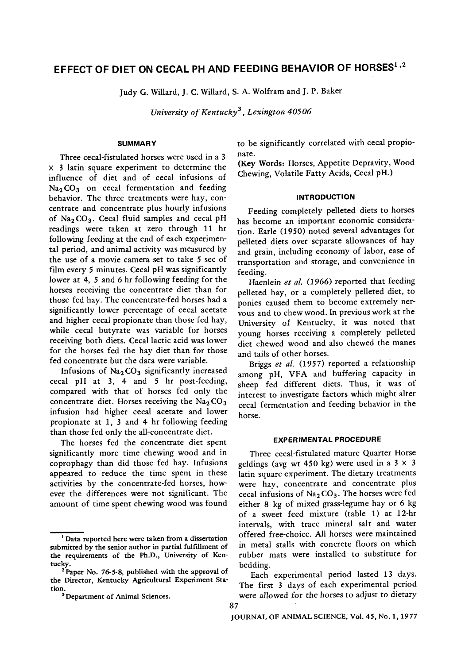# EFFECT OF DIET ON CECAL PH AND FEEDING BEHAVIOR OF HORSES<sup>1,2</sup>

Judy G. Willard, J. C. Willard, S. A. Wolfram and J. P. Baker

*University of Kentucky 3, Lexington 40506* 

## **SUMMARY**

Three cecal-fistulated horses were used in a 3 x 3 latin square experiment to determine the influence of diet and of cecal infusions of  $Na<sub>2</sub>CO<sub>3</sub>$  on cecal fermentation and feeding behavior. The three treatments were hay, concentrate and concentrate plus hourly infusions of Na<sub>2</sub>CO<sub>3</sub>. Cecal fluid samples and cecal pH readings were taken at zero through 11 hr following feeding at the end of each experimental period, and animal activity was measured by the use of a movie camera set to take 5 sec of film every 5 minutes. Cecal pH was significantly lower at 4, 5 and 6 hr following feeding for the horses receiving the concentrate diet than for those fed hay. The concentrate-fed horses had a significantly lower percentage of cecal acetate and higher cecal propionate than those fed hay, while cecal butyrate was variable for horses receiving both diets. Cecal lactic acid was lower for the horses fed the hay diet than for those fed concentrate but the data were variable.

Infusions of  $Na<sub>2</sub>CO<sub>3</sub>$  significantly increased cecal pH at 3, 4 and 5 hr post-feeding, compared with that of horses fed only the concentrate diet. Horses receiving the  $Na<sub>2</sub>CO<sub>3</sub>$ infusion had higher cecal acetate and lower propionate at 1, 3 and 4 hr following feeding than those fed only the all-concentrate diet.

The horses fed the concentrate diet spent significantly more time chewing wood and in coprophagy than did those fed hay. Infusions appeared to reduce the time spent in these activities by the concentrate-fed horses, however the differences were not significant. The amount of time spent chewing wood was found to be significantly correlated with cecal propiohate.

(Key Words: Horses, Appetite Depravity, Wood Chewing, Volatile Fatty Acids, Cecal pH.)

### **INTRODUCTION**

Feeding completely pelleted diets to horses has become an important economic consideration. Earle (1950) noted several advantages **for**  pelleted diets over separate allowances of hay and grain, including economy of labor, ease of transportation and storage, and convenience in feeding.

Haenlein *et al.* (1966) reported that feeding pelleted hay, or a completely pelleted diet, to ponies caused them to become extremely nervous and to chew wood. In previous work at the University of Kentucky, it was noted that young horses receiving a completely pelleted diet chewed wood and also chewed the manes and tails of other horses.

Briggs *et aL* (1957) reported a relationship among pH, VFA and buffering capacity in sheep fed different diets. Thus, it was of interest to investigate factors which might alter cecal fermentation and feeding behavior in the horse.

## **EXPERIMENTAL PROCEDURE**

Three cecal-fistulated mature Quarter Horse geldings (avg wt 450 kg) were used in a  $3 \times 3$ latin square experiment. The dietary treatments were hay, concentrate and concentrate plus cecal infusions of  $Na<sub>2</sub>CO<sub>3</sub>$ . The horses were fed either 8 kg of mixed grass-legume hay or 6 kg of a sweet feed mixture (table 1) at 12-hr intervals, with trace mineral salt and water offered free-choice. All horses were maintained in metal stalls with concrete floors on which rubber mats were installed to substitute for bedding.

Each experimental period lasted 13 days. The first 3 days of each experimental period were allowed for the horses to adjust to dietary

87

<sup>1</sup> Data reported here were taken from a dissertation submitted by the senior author in partial fulfillment **of**  the requirements of the Ph.D., University of Kentacky.

<sup>2</sup> Paper No. 76-5-8, published with the approval **of**  the Director, Kentucky Agricultural Experiment Station.

<sup>&</sup>lt;sup>3</sup> Department of Animal Sciences.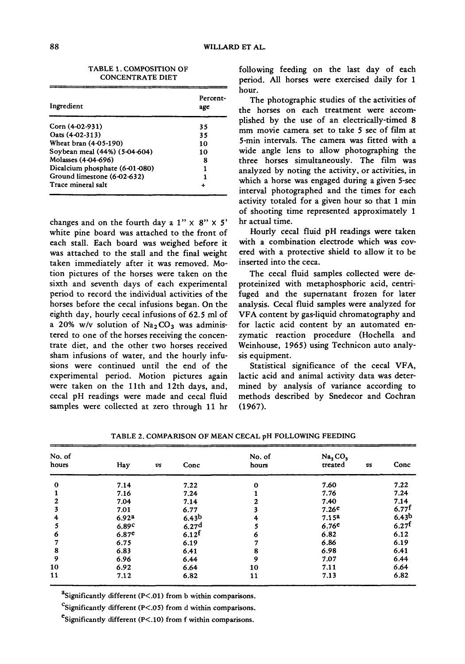TABLE 1. COMPOSITION OF CONCENTRATE DIET

| Ingredient                     | Percent-<br>age |
|--------------------------------|-----------------|
| Corn $(4-02-931)$              | 35              |
| Oats (4-02-313)                | 35              |
| Wheat bran (4-05-190)          | 10              |
| Soybean meal (44%) (5-04-604)  | 10              |
| Molasses (4-04-696)            | 8               |
| Dicalcium phosphate (6-01-080) | 1               |
| Ground limestone (6-02-632)    | 1               |
| Trace mineral salt             |                 |
|                                |                 |

changes and on the fourth day a  $1'' \times 8'' \times 5'$ white pine board was attached to the front of each stall. Each board was weighed before it was attached to the stall and the final weight taken immediately after it was removed. Motion pictures of the horses were taken on the sixth and seventh days of each experimental period to record the individual activities of the horses before the cecal infusions began. On the eighth day, hourly cecal infusions of 62.5 ml of a 20% w/v solution of  $Na<sub>2</sub>CO<sub>3</sub>$  was administered to one of the horses receiving the concentrate diet, and the other two horses received sham infusions of water, and the hourly infusions were continued until the end of the experimental period. Motion pictures again were taken on the llth and 12th days, and, cecal pH readings were made and cecal fluid samples were collected at zero through 11 hr following feeding on the last day of each period. All horses were exercised daily for 1 hour.

The photographic studies of the activities of the horses on each treatment were accomplished by the use of an electrically-timed 8 mm movie camera set to take 5 sec of film at 5-min intervals. The camera was fitted with a wide angle lens to allow photographing the three horses simultaneously. The film was analyzed by noting the activity, or activities, in which a horse was engaged during a given 5-sec interval photographed and the times for each activity totaled for a given hour so that 1 min of shooting time represented approximately 1 hr actual time.

Hourly cecal fluid pH readings were taken with a combination electrode which was covered with a protective shield to allow it to be inserted into the ceca.

The cecal fluid samples collected were deproteinized with metaphosphoric acid, centrifuged and the supernatant frozen for later analysis. Cecal fluid samples were analyzed for VFA content by gas-liquid chromatography and for lactic acid content by an automated enzymatic reaction procedure (Hochella and Weinhouse, 1965) using Technicon auto analysis equipment.

Statistical significance of the cecal VFA, lactic acid and animal activity data was determined by analysis of variance according to methods described by Snedecor and Cochran (1967).

| No. of<br>hours | Hay               | $\boldsymbol{v}$ s | Conc              | No. of<br>hours | Na, CO,<br>treated | vs | Conc                |
|-----------------|-------------------|--------------------|-------------------|-----------------|--------------------|----|---------------------|
| $\bf{0}$        | 7.14              |                    | 7.22              | 0               | 7.60               |    | 7.22                |
|                 | 7.16              |                    | 7.24              |                 | 7.76               |    | 7.24                |
|                 | 7.04              |                    | 7.14              |                 | 7.40               |    | 7.14                |
|                 | 7.01              |                    | 6.77              |                 | 7.26e              |    | $6.77$ f            |
|                 | 6.92ª             |                    | 6.43 <sup>b</sup> |                 | 7.15 <sup>2</sup>  |    | 6.43 <sup>b</sup>   |
|                 | 6.89c             |                    | 6.27 <sup>d</sup> |                 | 6.76 <sup>e</sup>  |    | $6.27$ <sup>t</sup> |
| 6               | 6.87 <sup>e</sup> |                    | 6.12 <sup>f</sup> |                 | 6.82               |    | 6.12                |
|                 | 6.75              |                    | 6.19              |                 | 6.86               |    | 6.19                |
| 8               | 6.83              |                    | 6.41              | 8               | 6.98               |    | 6.41                |
| 9               | 6.96              |                    | 6.44              | 9               | 7.07               |    | 6.44                |
| 10              | 6.92              |                    | 6.64              | 10              | 7.11               |    | 6.64                |
| 11              | 7.12              |                    | 6.82              | 11              | 7.13               |    | 6.82                |

TABLE 2. COMPARISON OF MEAN CECAL pH FOLLOWING FEEDING

<sup>a</sup>Significantly different (P<.01) from b within comparisons.

<sup>C</sup>Significantly different (P<.05) from d within comparisons.

esignificantly different ( $P<.10$ ) from f within comparisons.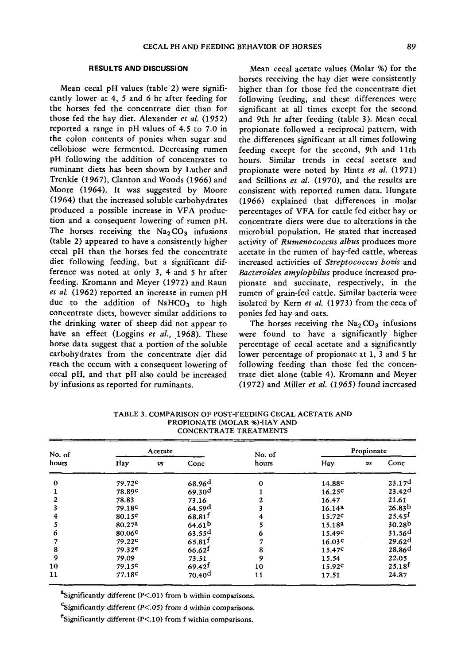### **RESULTS AND DISCUSSION**

Mean cecal pH values (table 2) were significantly lower at 4, 5 and 6 hr after feeding for the horses fed the concentrate diet than for those fed the hay diet. Alexander *et al.* (1952) reported a range in pH values of 4.5 to 7.0 in the colon contents of ponies when sugar and cellobiose were fermented. Decreasing rumen pH following the addition of concentrates to ruminant diets has been shown by Luther and Trenkle (1967), Clanton and Woods (1966) and Moore (1964). It was suggested by Moore (1964) that the increased soluble carbohydrates produced a possible increase in VFA production and a consequent lowering of rumen pH. The horses receiving the  $Na<sub>2</sub>CO<sub>3</sub>$  infusions (table 2) appeared to have a consistently higher cecal pH than the horses fed the concentrate diet following feeding, but a significant difference was noted at only 3, 4 and 5 hr after feeding. Kromann and Meyer (1972) and Raun *et al.* (1962) reported an increase in rumen pH due to the addition of NaHCO<sub>3</sub> to high concentrate diets, however similar additions to the drinking water of sheep did not appear to have an effect (Loggins *et al.,* 1968). These horse data suggest that a portion of the soluble carbohydrates from the concentrate diet did reach the cecum with a consequent lowering of cecal pH, and that pH also could be increased by infusions as reported for ruminants.

Mean cecal acetate values (Molar %) for the horses receiving the hay diet were consistently higher than for those fed the concentrate diet following feeding, and these differences were significant at all times except for the second and 9th hr after feeding (table 3). Mean cecal propionate followed a reciprocal pattern, with the differences significant at all times following feeding except for the second, 9th and llth hours. Similar trends in cecal acetate and propionate were noted by Hintz *et al.* (1971) and Stillions *et al.* (1970), and the results are consistent with reported rumen data. Hungate (1966) explained that differences in molar percentages of VFA for cattle fed either hay or concentrate diets were due to alterations in the microbial population. He stated that increased activity of *Rumenococcus albus* produces more acetate in the rumen of hay-fed cattle, whereas increased activities of *Streptococcus boris* and *Bacteroides amylopbilus* produce increased propionate and succinate, respectively, in the rumen of grain-fed cattle. Similar bacteria were isolated by Kern *et al.* (1973) from the ceca of ponies fed hay and oats.

The horses receiving the  $Na<sub>2</sub>CO<sub>3</sub>$  infusions were found to have a significantly higher percentage of cecal acetate and a significantly lower percentage of propionate at 1, 3 and 5 hr following feeding than those fed the concentrate diet alone (table 4). Kromann and Meyer (1972) and Miller *et al.* (1965) found *increased* 

| No. of   |                    | Acetate            |                      | No. of |                    | Propionate     |                      |
|----------|--------------------|--------------------|----------------------|--------|--------------------|----------------|----------------------|
| hours    | Hay                | $\boldsymbol{v}$ s | Conc                 | hours  | Hay                | v <sub>s</sub> | Conc                 |
| $\bf{0}$ | 79.72c             |                    | 68.96 <sup>d</sup>   |        | 14.88 <sup>c</sup> |                | 23.17 <sup>d</sup>   |
|          | 78.89 <sup>c</sup> |                    | 69.30 <sup>d</sup>   |        | 16.25c             |                | 23.42d               |
|          | 78.83              |                    | 73.16                |        | 16.47              |                | 21.61                |
|          | 79.18 <sup>c</sup> |                    | 64.59 <sup>d</sup>   |        | 16.14a             |                | 26.83 <sup>b</sup>   |
|          | 80.15 <sup>c</sup> |                    | $68.81^{t}$          |        | 15.72e             |                | $25.45$ <sup>t</sup> |
|          | 80.27 <sup>a</sup> |                    | 64.61 <sup>b</sup>   |        | 15.18 <sup>a</sup> |                | 30.28 <sup>b</sup>   |
| 6        | 80.06 <sup>c</sup> |                    | $63.55^{d}$          | n      | 15.49 <sup>c</sup> |                | 31.56 <sup>d</sup>   |
|          | $79.22^e$          |                    | $65.81^{f}$          |        | 16.03 <sup>c</sup> |                | 29.62 <sup>d</sup>   |
| 8        | $79.32^e$          |                    | $66.62$ <sup>f</sup> | 8      | 15.47 <sup>c</sup> |                | 28.86 <sup>d</sup>   |
| 9        | 79.09              |                    | 73.51                | 9      | 15.54              |                | 22.05                |
| 10       | $79.15^e$          |                    | 69.42 <sup>t</sup>   | 10     | 15.92e             |                | $25.18^{t}$          |
| 11       | 77.18c             |                    | 70,40 <sup>d</sup>   | 11     | 17.51              |                | 24.87                |

TABLE 3. COMPARISON OF POST-FEEDING CECAL ACETATE AND PROPIONATE (MOLAR %)-HAY AND CONCENTRATE TREATMENTS

<sup>a</sup>Significantly different (P<.01) from b within comparisons.

 $\text{c}^{\text{c}}$ Significantly different (P<.05) from d within comparisons.

 $e<sub>Significantly different</sub> (P<.10) from f within comparisons.$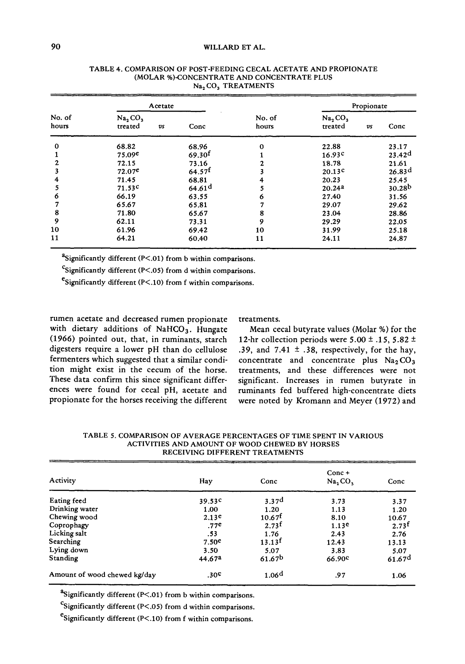## 90 WILLARD ET AL.

|                 | Acetate                                  |                      |                 |                                            | Propionate     |                    |
|-----------------|------------------------------------------|----------------------|-----------------|--------------------------------------------|----------------|--------------------|
| No. of<br>hours | Na, CO,<br>treated<br>$\boldsymbol{v}$ s | Conc                 | No. of<br>hours | Na <sub>2</sub> CO <sub>3</sub><br>treated | v <sub>s</sub> | Conc               |
| $\bf{0}$        | 68.82                                    | 68.96                | $\bf{o}$        | 22.88                                      |                | 23.17              |
|                 | 75.09e                                   | 69.30 <sup>f</sup>   |                 | 16.93c                                     |                | 23.42 <sup>d</sup> |
| 2               | 72.15                                    | 73.16                |                 | 18.78                                      |                | 21.61              |
|                 | 72.07e                                   | $64.57$ <sup>f</sup> |                 | 20.13 <sup>c</sup>                         |                | 26.83 <sup>d</sup> |
| 4               | 71.45                                    | 68.81                | 4               | 20.23                                      |                | 25.45              |
| 5               | 71.53c                                   | 64.61 <sup>d</sup>   |                 | 20.24 <sup>2</sup>                         |                | 30.28 <sup>b</sup> |
| 6               | 66.19                                    | 63.55                | 6               | 27.40                                      |                | 31.56              |
|                 | 65.67                                    | 65.81                |                 | 29.07                                      |                | 29.62              |
| 8               | 71.80                                    | 65.67                | 8               | 23.04                                      |                | 28.86              |
| 9               | 62.11                                    | 73.31                | 9               | 29.29                                      |                | 22.05              |
| 10              | 61.96                                    | 69.42                | 10              | 31.99                                      |                | 25.18              |
| 11              | 64.21                                    | 60.40                | 11              | 24.11                                      |                | 24.87              |

#### TABLE 4. COMPARISON OF POST-FEEDING CECAL ACETATE AND PROPIONATE (MOLAR %)-CONCENTRATE AND CONCENTRATE PLUS Na<sub>2</sub> CO<sub>3</sub> TREATMENTS

"Significantly different  $(P<.01)$  from b within comparisons.

Significantly different (P<.05) from d within comparisons.

 $\epsilon$ Significantly different (P<.10) from f within comparisons.

rumen acetate and decreased rumen propionate with dietary additions of NaHCO<sub>3</sub>. Hungate (1966) pointed out, that, in ruminants, starch digesters require a lower pH than do cellulose fermenters which suggested that a similar condition might exist in the cecum of the horse. These data confirm this since significant differences were found for cecal pH, acetate and propionate for the horses receiving the different

treatments.

Mean cecal butyrate values (Molar %) for the 12-hr collection periods were  $5.00 \pm .15, 5.82 \pm .15$ .39, and 7.41  $\pm$  .38, respectively, for the hay, concentrate and concentrate plus  $Na<sub>2</sub>CO<sub>3</sub>$ treatments, and these differences were not significant. Increases in rumen butyrate in ruminants fed buffered high-concentrate diets were noted by Kromann and Meyer (1972) and

| Activity                     | Hay                | Conc               | $Conc +$<br>Na, CO <sub>3</sub> | Conc               |
|------------------------------|--------------------|--------------------|---------------------------------|--------------------|
| Eating feed                  | 39.53c             | 3.37 <sup>d</sup>  | 3.73                            | 3.37               |
| Drinking water               | 1.00               | 1.20               | 1.13                            | 1.20               |
| Chewing wood                 | 2.13 <sup>e</sup>  | 10.67 <sup>1</sup> | 8.10                            | 10.67              |
| Coprophagy                   | .77e               | 2.73 <sup>f</sup>  | 1.13 <sup>e</sup>               | 2.73 <sup>f</sup>  |
| Licking salt                 | .53                | 1.76               | 2.43                            | 2.76               |
| Searching                    | 7.50 <sup>e</sup>  | 13.13 <sup>f</sup> | 12.43                           | 13.13              |
| Lying down                   | 3.50               | 5.07               | 3.83                            | 5.07               |
| Standing                     | 44.67 <sup>a</sup> | 61.67 <sup>b</sup> | 66.90 <sup>c</sup>              | 61.67 <sup>d</sup> |
| Amount of wood chewed kg/day | .30 <sup>c</sup>   | 1.06 <sup>d</sup>  | .97                             | 1.06               |

TABLE 5. COMPARISON OF AVERAGE PERCENTAGES OF TIME SPENT IN VARIOUS ACTIVITIES AND AMOUNT OF WOOD CHEWED BY HORSES RECEIVING DIFFERENT TREATMENTS

<sup>a</sup>Significantly different (P<.01) from b within comparisons.

 $\text{c}_{\text{Significantly different (P} < .05) \text{ from d within comparisons.}}$ 

 $e$ Significantly different (P<.10) from f within comparisons.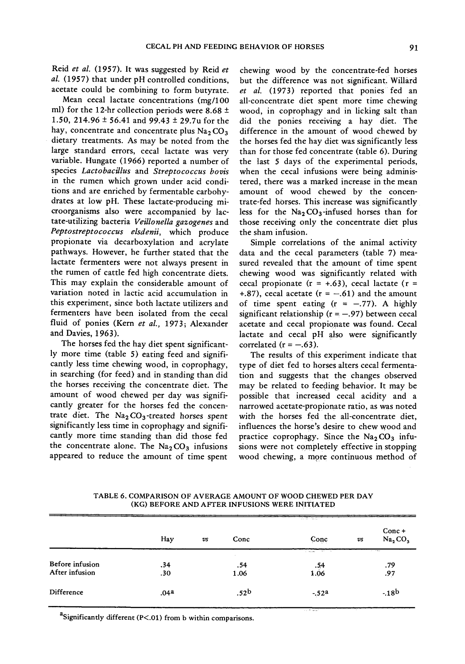Reid *et al.* (1957). It was suggested by Reid *et al.* (1957) that under pH controlled conditions, acetate could be combining to form butyrate.

Mean cecal lactate concentrations (mg/100 ml) for the 12-hr collection periods were 8.68  $\pm$ 1.50, 214.96  $\pm$  56.41 and 99.43  $\pm$  29.7u for the hay, concentrate and concentrate plus  $Na<sub>2</sub> CO<sub>3</sub>$ dietary treatments. As may be noted from the large standard errors, cecal lactate was very variable. Hungate (1966) reported a number of species *Lactobacillus* and *Streptococcus bovis*  in the rumen which grown under acid conditions and are enriched by fermentable carbohydrates at low pH. These lactate-producing microorganisms also were accompanied by lactate-utilizing bacteria *Veillonella gazogenes* and *Peptostreptococcus elsdenii,* which produce propionate via decarboxylation and acrylate pathways. However, he further stated that the lactate fermenters were not always present in the rumen of cattle fed high concentrate diets. This may explain the considerable amount of variation noted in lactic acid accumulation in this experiment, since both lactate utilizers and fermenters have been isolated from the cecal fluid of ponies (Kern *et al.,* 1973; Alexander and Davies, 1963).

The horses fed the hay diet spent significantly more time (table 5) eating feed and significantly less time chewing wood, in coprophagy, in searching (for feed) and in standing than did the horses receiving the concentrate diet. The amount of wood chewed per day was significantly greater for the horses fed the concentrate diet. The  $Na<sub>2</sub>CO<sub>3</sub>$ -treated horses spent significantly less time in coprophagy and significantly more time standing than did those fed the concentrate alone. The  $Na<sub>2</sub>CO<sub>3</sub>$  infusions appeared to reduce the amount of time spent

chewing wood by the concentrate-fed horses but the difference was not significant. Willard *et al.* (1973) reported that ponies fed an all-concentrate diet spent more time chewing wood, in coprophagy and in licking salt than did the ponies receiving a hay diet. The difference in the amount of wood chewed by the horses fed the hay diet was significantly less than for those fed concentrate (table 6). During the last 5 days of the experimental periods, when the cecal infusions were being administered, there was a marked increase in the mean amount of wood chewed by the concentrate-fed horses. This increase was significantly less for the  $Na<sub>2</sub>CO<sub>3</sub>$ -infused horses than for those receiving only the concentrate diet plus the sham infusion.

Simple correlations of the animal activity data and the cecal parameters (table 7) measured revealed that the amount of time spent chewing wood was significantly related with cecal propionate ( $r = +0.63$ ), cecal lactate ( $r =$ +.87), cecal acetate  $(r = -.61)$  and the amount of time spent eating  $(r = -.77)$ . A highly significant relationship ( $r = -.97$ ) between cecal acetate and cecal propionate was found. Cecal lactate and cecal pH also were significantly correlated ( $r = -.63$ ).

The results of this experiment indicate that type of diet fed to horses alters cecal fermentation and suggests that the changes observed may be related to feeding behavior. It may be possible that increased cecal acidity and a narrowed acetate-propionate ratio, as was noted with the horses fed the all-concentrate diet, influences the horse's desire to chew wood and practice coprophagy. Since the  $Na<sub>2</sub>CO<sub>3</sub>$  infusions were not completely effective in stopping wood chewing, a more continuous method of

TABLE 6. COMPARISON OF AVERAGE AMOUNT OF WOOD CHEWED PER DAY (KG) BEFORE AND AFTER INFUSIONS WERE INITIATED

|                 |                  |               |      | राजा बरा                                                                                                                                                                                                                             |    |                                          |
|-----------------|------------------|---------------|------|--------------------------------------------------------------------------------------------------------------------------------------------------------------------------------------------------------------------------------------|----|------------------------------------------|
|                 | Hay              | $\mathit{vs}$ | Conc | Conc                                                                                                                                                                                                                                 | vs | Conc+<br>Na <sub>2</sub> CO <sub>3</sub> |
|                 |                  |               |      | <b>Contact Contact Contact Contact Contact Contact Contact Contact Contact Contact Contact Contact Contact Contact Contact Contact Contact Contact Contact Contact Contact Contact Contact Contact Contact Contact Contact Conta</b> |    | $1 - 194$                                |
| Before infusion | .34              |               | .54  | .54                                                                                                                                                                                                                                  |    | .79                                      |
| After infusion  | .30              |               | 1.06 | 1.06                                                                                                                                                                                                                                 |    | .97                                      |
| Difference      | .04 <sup>a</sup> |               | .52b | $-.52a$                                                                                                                                                                                                                              |    | $-18b$                                   |
|                 |                  |               |      | <b>Substantial</b>                                                                                                                                                                                                                   |    |                                          |

<sup>a</sup>Significantly different (P<.01) from b within comparisons.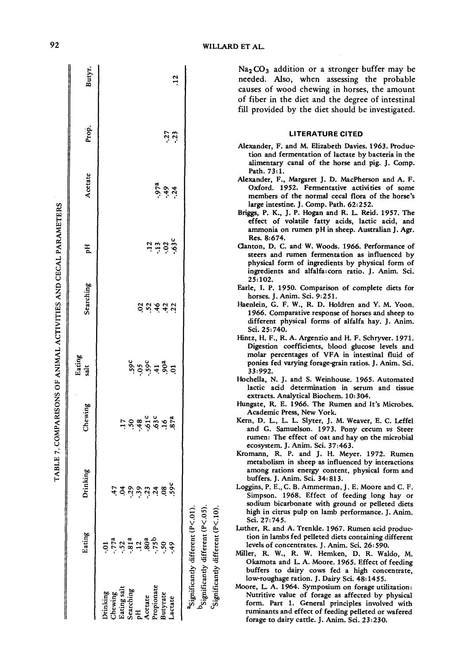|             |                                                |                                  |                                                                                                                                                                         |                | CABLE 7. COMPARISONS OF ANIMAL ACTIVITIES AND CECAL PARAMETERS |                           |                         |              |                |
|-------------|------------------------------------------------|----------------------------------|-------------------------------------------------------------------------------------------------------------------------------------------------------------------------|----------------|----------------------------------------------------------------|---------------------------|-------------------------|--------------|----------------|
|             | Eating                                         | Drinking                         | Chewing                                                                                                                                                                 | Eating<br>salt | Searching                                                      | РH                        | Acetate                 | Prop.        | Butyr.         |
| Drinking    |                                                |                                  |                                                                                                                                                                         |                |                                                                |                           |                         |              |                |
| Chewing     |                                                |                                  |                                                                                                                                                                         |                |                                                                |                           |                         |              |                |
| Eating salt | $77^a$<br>$32^a$<br>$32^a$<br>$32^a$<br>$35^b$ |                                  |                                                                                                                                                                         |                |                                                                |                           |                         |              |                |
| Searching   |                                                |                                  |                                                                                                                                                                         |                |                                                                |                           |                         |              |                |
| E           |                                                |                                  |                                                                                                                                                                         |                |                                                                |                           |                         |              |                |
| Acetate     |                                                |                                  |                                                                                                                                                                         |                |                                                                |                           |                         |              |                |
| Propionate  |                                                |                                  |                                                                                                                                                                         |                |                                                                |                           |                         |              |                |
| Butyrate    | $50 -$                                         | ن<br>مون نے بنا پنا پنا چاہیے ہے | $\frac{1}{2}$ $\frac{1}{2}$ $\frac{3}{4}$ $\frac{3}{4}$ $\frac{3}{4}$ $\frac{3}{4}$ $\frac{3}{4}$ $\frac{3}{4}$ $\frac{3}{4}$ $\frac{3}{4}$ $\frac{3}{4}$ $\frac{3}{4}$ | 5, 5, 5, 5, 5  | <b>Size</b> 32                                                 |                           |                         |              |                |
| Lactate     | 64.                                            |                                  |                                                                                                                                                                         |                |                                                                | $\ddot{a}$ ភ្នំ ភ្នំ ភ្នំ | $-97a$<br>$+9$<br>$+34$ | $27$<br>$23$ | $\frac{12}{1}$ |
|             |                                                |                                  |                                                                                                                                                                         |                |                                                                |                           |                         |              |                |
|             | "Significantly different (P<.01).              |                                  |                                                                                                                                                                         |                |                                                                |                           |                         |              |                |
|             | Significantly different $(P < 0.5)$            |                                  |                                                                                                                                                                         |                |                                                                |                           |                         |              |                |

 $Na<sub>2</sub>CO<sub>3</sub>$  addition or a stronger buffer may be needed. Also, when assessing the probable causes of wood chewing in horses, the amount of fiber in the diet and the degree of intestinal fill provided by the diet should be investigated.

### **LITERATURE CITED**

- Alexander, F. and M. Elizabeth Davies. 1963. Production and fermentation of lactate by bacteria in the alimentary canal of the horse and pig. J. Comp. Path. **73:1.**
- Alexander, F., Margaret J. D. MacPherson and A. F. Oxford. 1952. Fermentative activities of some members of the normal cecal flora of the horse's large intestine. J. Comp. Path. 62:252.
- Briggs, P. K., J. P. Hogan and R. L. Reid. 1957. The effect of volatile fatty acids, lactic acid, and ammonia on rumen pH in sheep. Australian J. Agr. Res. 8:674.
- Clanton, D. C. and W. Woods. 1966. Performance of steers and rumen fermentation as influenced by physical form of ingredients by physical form of ingredients and alfalfa:corn ratio. J. Anim. Sci. 25:102.
- Earle, I. P. 1950. Comparison of complete diets for horses. J. Anim. Sei. 9:251.
- Haenlein, G. F. W., R. D. Holdren and Y. M. Yoon. 1966. Comparative response of horses and sheep to different physical forms of alfalfa hay. J. Anim. Sci. 25:740.
- Hintz, H. F., R. A. Argenzio and H. F. Schryver. 1971. Digestion coefficients, blood glucose levels and molar percentages of VFA in intestinal fluid of ponies fed varying forage-grain ratios. J. Anim. Sci. 33:992.
- Hochella, N. J. and S. Weinhouse. 1965. Automated lactic acid determination in serum and tissue extracts. Analytical Biochem. 10: 304.
- Hungate, R. E. 1966. The Rumen and It's Microbes. Academic Press, New York.
- Kern, D. L., L. L. Slyter, J. M. Weaver, E. C. Leffel and G. Samuelson. 1973. Pony cecum vs Steer rumen: The effect of oat and hay on the microbial ecosystem. J. Anim. Sci. 37:463.
- Kromann, R. P. and J. H. Meyer. 1972. Rumen metabolism in sheep as influenced by interactions among rations energy content, physical form and buffers. J. Anim. Sci. 34:813.
- Loggins, P. E., C. B. Ammerman, J. E. Moore and C. F. Simpson. 1968. Effect of feeding long hay or sodium bicarbonate with ground or pelleted diets high in citrus pulp on lamb performance. J. Anim. Sci. 27:745.
- Luther, R. and A. Trenkle. 1967. Rumen acid production in lambs fed pelleted diets containing different levels of concentrates. J. Anim. Sei. 26: 590.
- Miller, R. W., R. W. Hemken, D. R. Waldo, M. Okarnota and L. A. Moore. 1965. Effect of feeding buffers to dairy cows fed a high concentrate, low-roughage ration. J. Dairy Sei. 48:1455.

 $c$ Significantly different (P<.10).

Moore, L. A. 1964. Symposium on forage utilization: Nutritive value of forage as affected by physical form. Part 1. General principles involved with ruminants and effect of feeding pelleted or wafered forage to dairy cattle. J. Anim. Sei. 23:230.